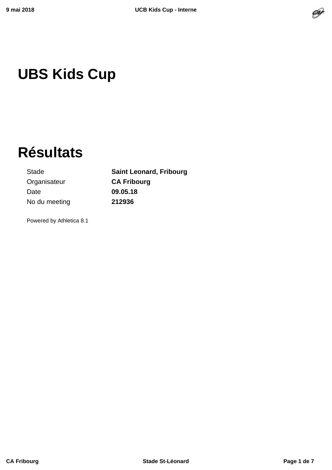

# **UBS Kids Cup**

# **Résultats**

Stade **Saint Leonard, Fribourg** Organisateur **CA Fribourg** Date **09.05.18** No du meeting **212936**

Powered by Athletica 8.1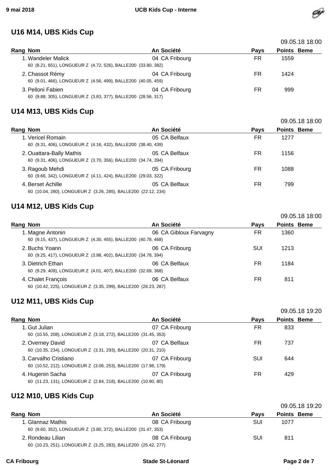#### **U16 M14, UBS Kids Cup**

|                                                                                     |                |             | 09.05.18 18:00     |  |
|-------------------------------------------------------------------------------------|----------------|-------------|--------------------|--|
| Rang Nom                                                                            | An Société     | <b>Pays</b> | <b>Points Beme</b> |  |
| 1. Wandeler Malick<br>60 (8.21, 651), LONGUEUR Z (4.72, 526), BALLE200 (33.80, 382) | 04 CA Fribourg | FR          | 1559               |  |
| 2. Chassot Rémy<br>60 (9.01, 466), LONGUEUR Z (4.56, 499), BALLE200 (40.05, 459)    | 04 CA Fribourg | FR          | 1424               |  |
| 3. Pelloni Fabien<br>60 (9.88, 305), LONGUEUR Z (3.83, 377), BALLE200 (28.56, 317)  | 04 CA Fribourg | FR          | 999                |  |

#### **U14 M13, UBS Kids Cup**

|                                                                                           |                |             | 09.05.18 18:00     |  |
|-------------------------------------------------------------------------------------------|----------------|-------------|--------------------|--|
| Rang Nom                                                                                  | An Société     | <b>Pays</b> | <b>Points Beme</b> |  |
| 1. Vericel Romain<br>60 (9.31, 406), LONGUEUR Z (4.16, 432), BALLE200 (38.40, 439)        | 05 CA Belfaux  | FR          | 1277               |  |
| 2. Ouattara-Bally Mathis<br>60 (9.31, 406), LONGUEUR Z (3.70, 356), BALLE200 (34.74, 394) | 05 CA Belfaux  | FR          | 1156               |  |
| 3. Ragoub Mehdi<br>60 (9.66, 342), LONGUEUR Z (4.11, 424), BALLE200 (29.03, 322)          | 05 CA Fribourg | FR          | 1088               |  |
| 4. Berset Achille<br>60 (10.04, 280), LONGUEUR Z (3.26, 285), BALLE200 (22.12, 234)       | 05 CA Belfaux  | FR          | 799                |  |

#### **U14 M12, UBS Kids Cup**

| Rang Nom                                                                             | An Société             | <b>Pays</b> | <b>Points Beme</b> |
|--------------------------------------------------------------------------------------|------------------------|-------------|--------------------|
| 1. Magne Antonin<br>60 (9.15, 437), LONGUEUR Z (4.30, 455), BALLE200 (40.78, 468)    | 06 CA Gibloux Farvagny | FR          | 1360               |
| 2. Buchs Yoann<br>60 (9.25, 417), LONGUEUR Z (3.98, 402), BALLE200 (34.78, 394)      | 06 CA Fribourg         | SUI         | 1213               |
| 3. Dietrich Ethan<br>60 (9.29, 409), LONGUEUR Z (4.01, 407), BALLE200 (32.69, 368)   | 06 CA Belfaux          | FR.         | 1184               |
| 4. Chalet François<br>60 (10.42, 225), LONGUEUR Z (3.35, 299), BALLE200 (26.23, 287) | 06 CA Belfaux          | FR.         | 811                |

### **U12 M11, UBS Kids Cup**

|                                                                                         |                |             | 09.05.18 19:20     |
|-----------------------------------------------------------------------------------------|----------------|-------------|--------------------|
| Rang Nom                                                                                | An Société     | <b>Pays</b> | <b>Points Beme</b> |
| 1. Gut Julian<br>60 (10.55, 208), LONGUEUR Z (3.18, 272), BALLE200 (31.45, 353)         | 07 CA Fribourg | FR          | 833                |
| 2. Overney David<br>60 (10.35, 234), LONGUEUR Z (3.31, 293), BALLE200 (20.31, 210)      | 07 CA Belfaux  | FR          | 737                |
| 3. Carvalho Cristiano<br>60 (10.52, 212), LONGUEUR Z (3.06, 253), BALLE200 (17.98, 179) | 07 CA Fribourg | SUI         | 644                |
| 4. Hugenin Sacha<br>60 (11.23, 131), LONGUEUR Z (2.84, 218), BALLE200 (10.90, 80)       | 07 CA Fribourg | FR          | 429                |

#### **U12 M10, UBS Kids Cup**

|          |                                                                |                |      | 09.05.18 19:20     |
|----------|----------------------------------------------------------------|----------------|------|--------------------|
| Rang Nom |                                                                | An Société     | Pays | <b>Points Beme</b> |
|          | 1. Glannaz Mathis                                              | 08 CA Fribourg | SUI  | 1077               |
|          | 60 (9.60, 352), LONGUEUR Z (3.80, 372), BALLE200 (31.47, 353)  |                |      |                    |
|          | 2. Rondeau Lilian                                              | 08 CA Fribourg | SUI  | 811                |
|          | 60 (10.23, 251), LONGUEUR Z (3.25, 283), BALLE200 (25.42, 277) |                |      |                    |

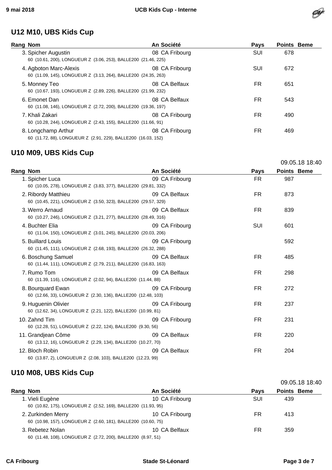

#### **U12 M10, UBS Kids Cup**

| Rang Nom                                                                                 | An Société     | <b>Pays</b> | <b>Points Beme</b> |
|------------------------------------------------------------------------------------------|----------------|-------------|--------------------|
| 3. Spicher Augustin<br>60 (10.61, 200), LONGUEUR Z (3.06, 253), BALLE200 (21.46, 225)    | 08 CA Fribourg | SUI         | 678                |
| 4. Agboton Marc-Alexis<br>60 (11.09, 145), LONGUEUR Z (3.13, 264), BALLE200 (24.35, 263) | 08 CA Fribourg | SUI         | 672                |
| 5. Monney Teo<br>60 (10.67, 193), LONGUEUR Z (2.89, 226), BALLE200 (21.99, 232)          | 08 CA Belfaux  | FR.         | 651                |
| 6. Emonet Dan<br>60 (11.08, 146), LONGUEUR Z (2.72, 200), BALLE200 (19.36, 197)          | 08 CA Belfaux  | FR.         | 543                |
| 7. Khali Zakari<br>60 (10.28, 244), LONGUEUR Z (2.43, 155), BALLE200 (11.66, 91)         | 08 CA Fribourg | FR.         | 490                |
| 8. Longchamp Arthur<br>60 (11.72, 88), LONGUEUR Z (2.91, 229), BALLE200 (16.03, 152)     | 08 CA Fribourg | FR          | 469                |

## **U10 M09, UBS Kids Cup**

|                                                                                       |                |             |             | 09.05.18 18:40 |
|---------------------------------------------------------------------------------------|----------------|-------------|-------------|----------------|
| Rang Nom                                                                              | An Société     | <b>Pays</b> | Points Beme |                |
| 1. Spicher Luca<br>60 (10.05, 278), LONGUEUR Z (3.83, 377), BALLE200 (29.81, 332)     | 09 CA Fribourg | FR.         | 987         |                |
| 2. Ribordy Matthieu<br>60 (10.45, 221), LONGUEUR Z (3.50, 323), BALLE200 (29.57, 329) | 09 CA Belfaux  | FR.         | 873         |                |
| 3. Werro Arnaud<br>60 (10.27, 246), LONGUEUR Z (3.21, 277), BALLE200 (28.49, 316)     | 09 CA Belfaux  | FR.         | 839         |                |
| 4. Buchter Elia<br>60 (11.04, 150), LONGUEUR Z (3.01, 245), BALLE200 (20.03, 206)     | 09 CA Fribourg | <b>SUI</b>  | 601         |                |
| 5. Buillard Louis<br>60 (11.45, 111), LONGUEUR Z (2.68, 193), BALLE200 (26.32, 288)   | 09 CA Fribourg |             | 592         |                |
| 6. Boschung Samuel<br>60 (11.44, 111), LONGUEUR Z (2.79, 211), BALLE200 (16.83, 163)  | 09 CA Belfaux  | FR.         | 485         |                |
| 7. Rumo Tom<br>60 (11.39, 116), LONGUEUR Z (2.02, 94), BALLE200 (11.44, 88)           | 09 CA Belfaux  | FR.         | 298         |                |
| 8. Bourguard Ewan<br>60 (12.66, 33), LONGUEUR Z (2.30, 136), BALLE200 (12.48, 103)    | 09 CA Fribourg | FR.         | 272         |                |
| 9. Huguenin Olivier<br>60 (12.62, 34), LONGUEUR Z (2.21, 122), BALLE200 (10.99, 81)   | 09 CA Fribourg | <b>FR</b>   | 237         |                |
| 10. Zahnd Tim<br>60 (12.28, 51), LONGUEUR Z (2.22, 124), BALLE200 (9.30, 56)          | 09 CA Fribourg | FR.         | 231         |                |
| 11. Grandjean Côme<br>60 (13.12, 16), LONGUEUR Z (2.29, 134), BALLE200 (10.27, 70)    | 09 CA Belfaux  | FR.         | 220         |                |
| 12. Bloch Robin<br>60 (13.87, 2), LONGUEUR Z (2.08, 103), BALLE200 (12.23, 99)        | 09 CA Belfaux  | FR.         | 204         |                |

#### **U10 M08, UBS Kids Cup**

|                    |                                                               |                |             |                    | 09.05.18 18:40 |
|--------------------|---------------------------------------------------------------|----------------|-------------|--------------------|----------------|
| Rang Nom           |                                                               | An Société     | <b>Pays</b> | <b>Points Beme</b> |                |
| 1. Vieli Eugène    | 60 (10.82, 175), LONGUEUR Z (2.52, 169), BALLE200 (11.93, 95) | 10 CA Fribourg | <b>SUI</b>  | 439                |                |
| 2. Zurkinden Merry | 60 (10.98, 157), LONGUEUR Z (2.60, 181), BALLE200 (10.60, 75) | 10 CA Fribourg | FR          | 413                |                |
| 3. Rebetez Nolan   | 60 (11.48, 108), LONGUEUR Z (2.72, 200), BALLE200 (8.97, 51)  | 10 CA Belfaux  | FR          | 359                |                |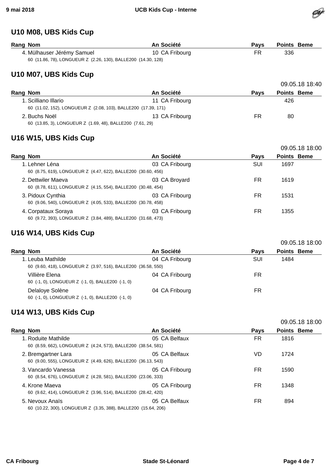

#### **U10 M08, UBS Kids Cup**

| Rang Nom                                                      | An Société     | Pavs | <b>Points Beme</b> |
|---------------------------------------------------------------|----------------|------|--------------------|
| 4. Mülhauser Jérémy Samuel                                    | 10 CA Fribourg | FR.  | 336                |
| 60 (11.86, 78), LONGUEUR Z (2.26, 130), BALLE200 (14.30, 128) |                |      |                    |

#### **U10 M07, UBS Kids Cup**

|                                                                |                |      | 09.05.18 18:40     |
|----------------------------------------------------------------|----------------|------|--------------------|
| Rang Nom                                                       | An Société     | Pavs | <b>Points Beme</b> |
| 1. Scilliano Illario                                           | 11 CA Fribourg |      | 426                |
| 60 (11.02, 152), LONGUEUR Z (2.08, 103), BALLE200 (17.39, 171) |                |      |                    |
| 2. Buchs Noël                                                  | 13 CA Fribourg | FR   | 80                 |
| 60 (13.85, 3), LONGUEUR Z (1.69, 48), BALLE200 (7.61, 29)      |                |      |                    |

#### **U16 W15, UBS Kids Cup**

|                                                                                      |                |             | 09.05.18 18:00     |
|--------------------------------------------------------------------------------------|----------------|-------------|--------------------|
| Rang Nom                                                                             | An Société     | <b>Pays</b> | <b>Points Beme</b> |
| 1. Lehner Léna<br>60 (8.75, 619), LONGUEUR Z (4.47, 622), BALLE200 (30.60, 456)      | 03 CA Fribourg | SUI         | 1697               |
| 2. Dettwiler Maeva<br>60 (8.78, 611), LONGUEUR Z (4.15, 554), BALLE200 (30.48, 454)  | 03 CA Broyard  | FR.         | 1619               |
| 3. Pidoux Cynthia<br>60 (9.06, 540), LONGUEUR Z (4.05, 533), BALLE200 (30.78, 458)   | 03 CA Fribourg | FR          | 1531               |
| 4. Corpataux Soraya<br>60 (9.72, 393), LONGUEUR Z (3.84, 489), BALLE200 (31.68, 473) | 03 CA Fribourg | FR          | 1355               |

#### **U16 W14, UBS Kids Cup**

|                                                                                    |                |             | 09.05.18 18:00     |
|------------------------------------------------------------------------------------|----------------|-------------|--------------------|
| Rang Nom                                                                           | An Société     | <b>Pays</b> | <b>Points Beme</b> |
| 1. Leuba Mathilde<br>60 (9.60, 418), LONGUEUR Z (3.97, 516), BALLE200 (36.58, 550) | 04 CA Fribourg | SUI         | 1484               |
| Villière Elena<br>60 (-1, 0), LONGUEUR Z (-1, 0), BALLE200 (-1, 0)                 | 04 CA Fribourg | FR.         |                    |
| Delaloye Solène<br>60 (-1, 0), LONGUEUR Z (-1, 0), BALLE200 (-1, 0)                | 04 CA Fribourg | FR          |                    |

#### **U14 W13, UBS Kids Cup**

|                                                                                      |                |             | 09.05.18 18:00     |
|--------------------------------------------------------------------------------------|----------------|-------------|--------------------|
| Rang Nom                                                                             | An Société     | <b>Pays</b> | <b>Points Beme</b> |
| 1. Roduite Mathilde<br>60 (8.59, 662), LONGUEUR Z (4.24, 573), BALLE200 (38.54, 581) | 05 CA Belfaux  | FR.         | 1816               |
| 2. Bremgartner Lara<br>60 (9.00, 555), LONGUEUR Z (4.49, 626), BALLE200 (36.13, 543) | 05 CA Belfaux  | VD          | 1724               |
| 3. Vancardo Vanessa<br>60 (8.54, 676), LONGUEUR Z (4.28, 581), BALLE200 (23.06, 333) | 05 CA Fribourg | FR.         | 1590               |
| 4. Krone Maeva<br>60 (9.62, 414), LONGUEUR Z (3.96, 514), BALLE200 (28.42, 420)      | 05 CA Fribourg | FR.         | 1348               |
| 5. Nevoux Anaïs<br>60 (10.22, 300), LONGUEUR Z (3.35, 388), BALLE200 (15.64, 206)    | 05 CA Belfaux  | <b>FR</b>   | 894                |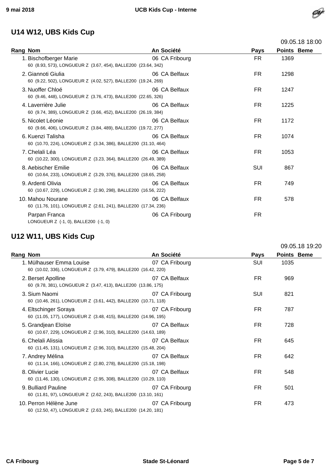### **U14 W12, UBS Kids Cup**

|                                                                                         |                |             |                    | <b>09.09.10 10.00</b> |
|-----------------------------------------------------------------------------------------|----------------|-------------|--------------------|-----------------------|
| <b>Rang Nom</b>                                                                         | An Société     | <b>Pays</b> | <b>Points Beme</b> |                       |
| 1. Bischofberger Marie<br>60 (8.93, 573), LONGUEUR Z (3.67, 454), BALLE200 (23.64, 342) | 06 CA Fribourg | FR.         | 1369               |                       |
| 2. Giannoti Giulia<br>60 (9.22, 502), LONGUEUR Z (4.02, 527), BALLE200 (19.24, 269)     | 06 CA Belfaux  | FR.         | 1298               |                       |
| 3. Nuoffer Chloé<br>60 (9.46, 448), LONGUEUR Z (3.76, 473), BALLE200 (22.65, 326)       | 06 CA Belfaux  | FR.         | 1247               |                       |
| 4. Laverrière Julie<br>60 (9.74, 389), LONGUEUR Z (3.66, 452), BALLE200 (26.19, 384)    | 06 CA Belfaux  | <b>FR</b>   | 1225               |                       |
| 5. Nicolet Léonie<br>60 (9.66, 406), LONGUEUR Z (3.84, 489), BALLE200 (19.72, 277)      | 06 CA Belfaux  | FR.         | 1172               |                       |
| 6. Kuenzi Talisha<br>60 (10.70, 224), LONGUEUR Z (3.34, 386), BALLE200 (31.10, 464)     | 06 CA Belfaux  | FR.         | 1074               |                       |
| 7. Chelali Léa<br>60 (10.22, 300), LONGUEUR Z (3.23, 364), BALLE200 (26.49, 389)        | 06 CA Belfaux  | FR.         | 1053               |                       |
| 8. Aebischer Emilie<br>60 (10.64, 233), LONGUEUR Z (3.29, 376), BALLE200 (18.65, 258)   | 06 CA Belfaux  | SUI         | 867                |                       |
| 9. Ardenti Olivia<br>60 (10.67, 229), LONGUEUR Z (2.90, 298), BALLE200 (16.56, 222)     | 06 CA Belfaux  | FR.         | 749                |                       |
| 10. Mahou Nourane<br>60 (11.76, 101), LONGUEUR Z (2.61, 241), BALLE200 (17.34, 236)     | 06 CA Belfaux  | FR.         | 578                |                       |
| Parpan Franca<br>LONGUEUR Z (-1, 0), BALLE200 (-1, 0)                                   | 06 CA Fribourg | <b>FR</b>   |                    |                       |

# **U12 W11, UBS Kids Cup**

|                                                                                            |                |             |                    | 09.05.18 19:20 |
|--------------------------------------------------------------------------------------------|----------------|-------------|--------------------|----------------|
| <b>Rang Nom</b>                                                                            | An Société     | <b>Pays</b> | <b>Points Beme</b> |                |
| 1. Mülhauser Emma Louise<br>60 (10.02, 336), LONGUEUR Z (3.79, 479), BALLE200 (16.42, 220) | 07 CA Fribourg | SUI         | 1035               |                |
| 2. Berset Apolline<br>60 (9.78, 381), LONGUEUR Z (3.47, 413), BALLE200 (13.86, 175)        | 07 CA Belfaux  | FR.         | 969                |                |
| 3. Sium Naomi<br>60 (10.46, 261), LONGUEUR Z (3.61, 442), BALLE200 (10.71, 118)            | 07 CA Fribourg | SUI         | 821                |                |
| 4. Eltschinger Soraya<br>60 (11.05, 177), LONGUEUR Z (3.48, 415), BALLE200 (14.96, 195)    | 07 CA Fribourg | FR          | 787                |                |
| 5. Grandjean Eloïse<br>60 (10.67, 229), LONGUEUR Z (2.96, 310), BALLE200 (14.63, 189)      | 07 CA Belfaux  | FR.         | 728                |                |
| 6. Chelali Alissia<br>60 (11.45, 131), LONGUEUR Z (2.96, 310), BALLE200 (15.48, 204)       | 07 CA Belfaux  | FR.         | 645                |                |
| 7. Andrey Mélina<br>60 (11.14, 166), LONGUEUR Z (2.80, 278), BALLE200 (15.18, 198)         | 07 CA Belfaux  | FR.         | 642                |                |
| 8. Olivier Lucie<br>60 (11.46, 130), LONGUEUR Z (2.95, 308), BALLE200 (10.29, 110)         | 07 CA Belfaux  | FR.         | 548                |                |
| 9. Bulliard Pauline<br>60 (11.81, 97), LONGUEUR Z (2.62, 243), BALLE200 (13.10, 161)       | 07 CA Fribourg | FR.         | 501                |                |
| 10. Perron Hélène June<br>60 (12.50, 47), LONGUEUR Z (2.63, 245), BALLE200 (14.20, 181)    | 07 CA Fribourg | FR.         | 473                |                |

Øf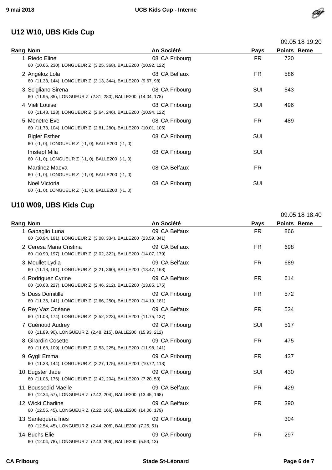

| U12 W10, UBS Kids Cup                                                                |                |             |                    |
|--------------------------------------------------------------------------------------|----------------|-------------|--------------------|
|                                                                                      |                |             | 09.05.18 19:20     |
| Rang Nom                                                                             | An Société     | <b>Pays</b> | <b>Points Beme</b> |
| 1. Riedo Eline<br>60 (10.66, 230), LONGUEUR Z (3.25, 368), BALLE200 (10.92, 122)     | 08 CA Fribourg | FR.         | 720                |
| 2. Angéloz Lola<br>60 (11.33, 144), LONGUEUR Z (3.13, 344), BALLE200 (9.67, 98)      | 08 CA Belfaux  | FR.         | 586                |
| 3. Scigliano Sirena<br>60 (11.95, 85), LONGUEUR Z (2.81, 280), BALLE200 (14.04, 178) | 08 CA Fribourg | <b>SUI</b>  | 543                |
| 4. Vieli Louise<br>60 (11.48, 128), LONGUEUR Z (2.64, 246), BALLE200 (10.94, 122)    | 08 CA Fribourg | <b>SUI</b>  | 496                |
| 5. Menetre Eve<br>60 (11.73, 104), LONGUEUR Z (2.81, 280), BALLE200 (10.01, 105)     | 08 CA Fribourg | FR.         | 489                |
| <b>Bigler Esther</b><br>60 (-1, 0), LONGUEUR Z (-1, 0), BALLE200 (-1, 0)             | 08 CA Fribourg | SUI         |                    |
| <b>Imstepf Mila</b><br>60 (-1, 0), LONGUEUR Z (-1, 0), BALLE200 (-1, 0)              | 08 CA Fribourg | SUI         |                    |
| Martinez Maeva<br>60 (-1, 0), LONGUEUR Z (-1, 0), BALLE200 (-1, 0)                   | 08 CA Belfaux  | FR.         |                    |
| Noël Victoria                                                                        | 08 CA Fribourg | SUI         |                    |

#### **U10 W09, UBS Kids Cup**

60 (-1, 0), LONGUEUR Z (-1, 0), BALLE200 (-1, 0)

|          |                                                                                            |                |             |                    | 09.05.18 18:40 |
|----------|--------------------------------------------------------------------------------------------|----------------|-------------|--------------------|----------------|
| Rang Nom |                                                                                            | An Société     | <b>Pays</b> | <b>Points Beme</b> |                |
|          | 1. Gabaglio Luna<br>60 (10.94, 191), LONGUEUR Z (3.08, 334), BALLE200 (23.59, 341)         | 09 CA Belfaux  | <b>FR</b>   | 866                |                |
|          | 2. Ceresa Maria Cristina<br>60 (10.90, 197), LONGUEUR Z (3.02, 322), BALLE200 (14.07, 179) | 09 CA Belfaux  | <b>FR</b>   | 698                |                |
|          | 3. Moullet Lydia<br>60 (11.18, 161), LONGUEUR Z (3.21, 360), BALLE200 (13.47, 168)         | 09 CA Belfaux  | FR.         | 689                |                |
|          | 4. Rodriguez Cyrine<br>60 (10.68, 227), LONGUEUR Z (2.46, 212), BALLE200 (13.85, 175)      | 09 CA Belfaux  | <b>FR</b>   | 614                |                |
|          | 5. Duss Domitille<br>60 (11.36, 141), LONGUEUR Z (2.66, 250), BALLE200 (14.19, 181)        | 09 CA Fribourg | <b>FR</b>   | 572                |                |
|          | 6. Rey Vaz Océane<br>60 (11.08, 174), LONGUEUR Z (2.52, 223), BALLE200 (11.75, 137)        | 09 CA Belfaux  | <b>FR</b>   | 534                |                |
|          | 7. Cuénoud Audrey<br>60 (11.89, 90), LONGUEUR Z (2.48, 215), BALLE200 (15.93, 212)         | 09 CA Fribourg | SUI         | 517                |                |
|          | 8. Girardin Cosette<br>60 (11.68, 109), LONGUEUR Z (2.53, 225), BALLE200 (11.98, 141)      | 09 CA Fribourg | <b>FR</b>   | 475                |                |
|          | 9. Gygli Emma<br>60 (11.33, 144), LONGUEUR Z (2.27, 175), BALLE200 (10.72, 118)            | 09 CA Fribourg | <b>FR</b>   | 437                |                |
|          | 10. Eugster Jade<br>60 (11.06, 176), LONGUEUR Z (2.42, 204), BALLE200 (7.20, 50)           | 09 CA Fribourg | <b>SUI</b>  | 430                |                |
|          | 11. Boussedid Maelle<br>60 (12.34, 57), LONGUEUR Z (2.42, 204), BALLE200 (13.45, 168)      | 09 CA Belfaux  | <b>FR</b>   | 429                |                |
|          | 12. Wicki Charline<br>60 (12.55, 45), LONGUEUR Z (2.22, 166), BALLE200 (14.06, 179)        | 09 CA Belfaux  | <b>FR</b>   | 390                |                |
|          | 13. Santequera Ines<br>60 (12.54, 45), LONGUEUR Z (2.44, 208), BALLE200 (7.25, 51)         | 09 CA Fribourg |             | 304                |                |
|          | 14. Buchs Elie<br>60 (12.04, 78), LONGUEUR Z (2.43, 206), BALLE200 (5.53, 13)              | 09 CA Fribourg | FR.         | 297                |                |